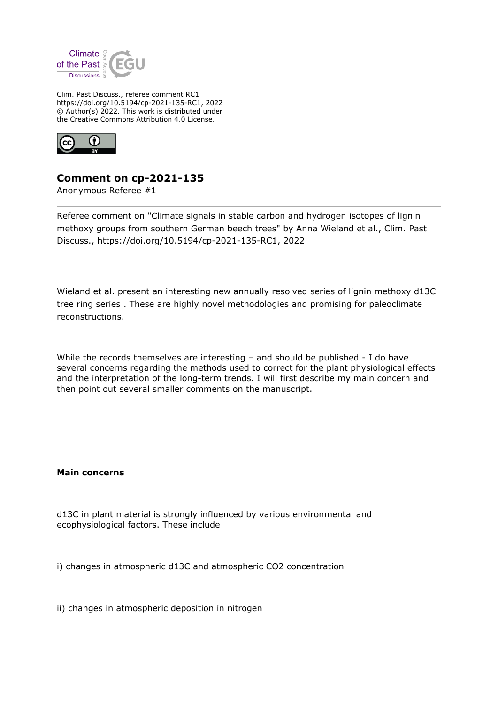

Clim. Past Discuss., referee comment RC1 https://doi.org/10.5194/cp-2021-135-RC1, 2022 © Author(s) 2022. This work is distributed under the Creative Commons Attribution 4.0 License.



## **Comment on cp-2021-135**

Anonymous Referee #1

Referee comment on "Climate signals in stable carbon and hydrogen isotopes of lignin methoxy groups from southern German beech trees" by Anna Wieland et al., Clim. Past Discuss., https://doi.org/10.5194/cp-2021-135-RC1, 2022

Wieland et al. present an interesting new annually resolved series of lignin methoxy d13C tree ring series . These are highly novel methodologies and promising for paleoclimate reconstructions.

While the records themselves are interesting – and should be published - I do have several concerns regarding the methods used to correct for the plant physiological effects and the interpretation of the long-term trends. I will first describe my main concern and then point out several smaller comments on the manuscript.

## **Main concerns**

d13C in plant material is strongly influenced by various environmental and ecophysiological factors. These include

i) changes in atmospheric d13C and atmospheric CO2 concentration

ii) changes in atmospheric deposition in nitrogen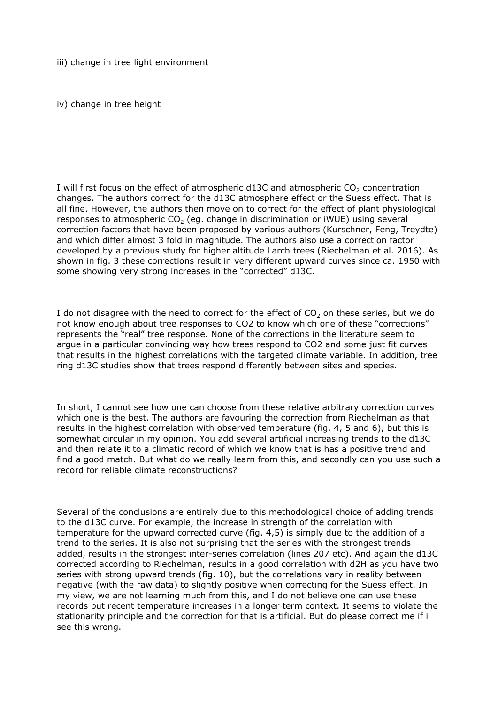iii) change in tree light environment

iv) change in tree height

I will first focus on the effect of atmospheric d13C and atmospheric  $CO<sub>2</sub>$  concentration changes. The authors correct for the d13C atmosphere effect or the Suess effect. That is all fine. However, the authors then move on to correct for the effect of plant physiological responses to atmospheric  $CO<sub>2</sub>$  (eq. change in discrimination or iWUE) using several correction factors that have been proposed by various authors (Kurschner, Feng, Treydte) and which differ almost 3 fold in magnitude. The authors also use a correction factor developed by a previous study for higher altitude Larch trees (Riechelman et al. 2016). As shown in fig. 3 these corrections result in very different upward curves since ca. 1950 with some showing very strong increases in the "corrected" d13C.

I do not disagree with the need to correct for the effect of  $CO<sub>2</sub>$  on these series, but we do not know enough about tree responses to CO2 to know which one of these "corrections" represents the "real" tree response. None of the corrections in the literature seem to argue in a particular convincing way how trees respond to CO2 and some just fit curves that results in the highest correlations with the targeted climate variable. In addition, tree ring d13C studies show that trees respond differently between sites and species.

In short, I cannot see how one can choose from these relative arbitrary correction curves which one is the best. The authors are favouring the correction from Riechelman as that results in the highest correlation with observed temperature (fig. 4, 5 and 6), but this is somewhat circular in my opinion. You add several artificial increasing trends to the d13C and then relate it to a climatic record of which we know that is has a positive trend and find a good match. But what do we really learn from this, and secondly can you use such a record for reliable climate reconstructions?

Several of the conclusions are entirely due to this methodological choice of adding trends to the d13C curve. For example, the increase in strength of the correlation with temperature for the upward corrected curve (fig. 4,5) is simply due to the addition of a trend to the series. It is also not surprising that the series with the strongest trends added, results in the strongest inter-series correlation (lines 207 etc). And again the d13C corrected according to Riechelman, results in a good correlation with d2H as you have two series with strong upward trends (fig. 10), but the correlations vary in reality between negative (with the raw data) to slightly positive when correcting for the Suess effect. In my view, we are not learning much from this, and I do not believe one can use these records put recent temperature increases in a longer term context. It seems to violate the stationarity principle and the correction for that is artificial. But do please correct me if i see this wrong.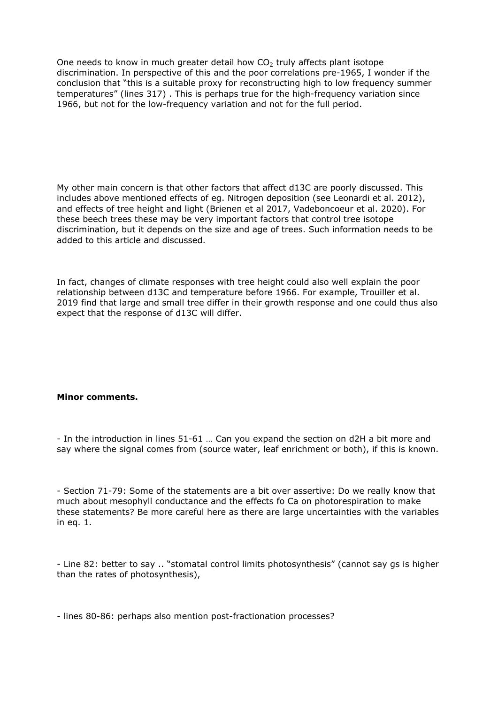One needs to know in much greater detail how  $CO<sub>2</sub>$  truly affects plant isotope discrimination. In perspective of this and the poor correlations pre-1965, I wonder if the conclusion that "this is a suitable proxy for reconstructing high to low frequency summer temperatures" (lines 317) . This is perhaps true for the high-frequency variation since 1966, but not for the low-frequency variation and not for the full period.

My other main concern is that other factors that affect d13C are poorly discussed. This includes above mentioned effects of eg. Nitrogen deposition (see Leonardi et al. 2012), and effects of tree height and light (Brienen et al 2017, Vadeboncoeur et al. 2020). For these beech trees these may be very important factors that control tree isotope discrimination, but it depends on the size and age of trees. Such information needs to be added to this article and discussed.

In fact, changes of climate responses with tree height could also well explain the poor relationship between d13C and temperature before 1966. For example, Trouiller et al. 2019 find that large and small tree differ in their growth response and one could thus also expect that the response of d13C will differ.

## **Minor comments.**

- In the introduction in lines 51-61 … Can you expand the section on d2H a bit more and say where the signal comes from (source water, leaf enrichment or both), if this is known.

- Section 71-79: Some of the statements are a bit over assertive: Do we really know that much about mesophyll conductance and the effects fo Ca on photorespiration to make these statements? Be more careful here as there are large uncertainties with the variables in eq. 1.

- Line 82: better to say .. "stomatal control limits photosynthesis" (cannot say gs is higher than the rates of photosynthesis),

- lines 80-86: perhaps also mention post-fractionation processes?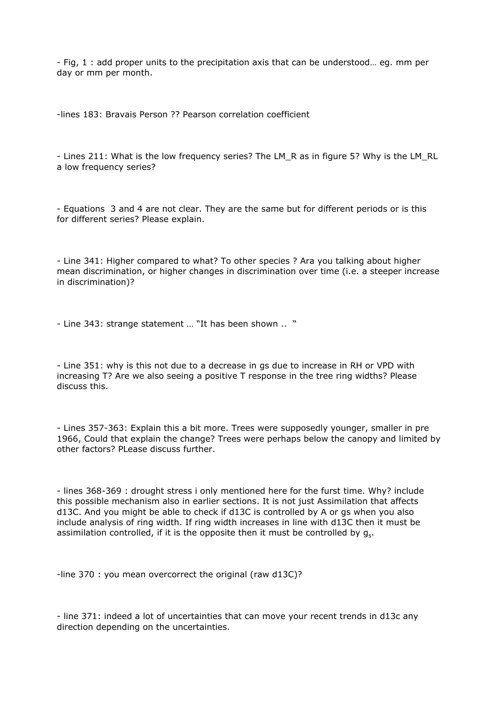- Fig, 1 : add proper units to the precipitation axis that can be understood… eg. mm per day or mm per month.

-lines 183: Bravais Person ?? Pearson correlation coefficient

- Lines 211: What is the low frequency series? The LM\_R as in figure 5? Why is the LM\_RL a low frequency series?

- Equations 3 and 4 are not clear. They are the same but for different periods or is this for different series? Please explain.

- Line 341: Higher compared to what? To other species ? Ara you talking about higher mean discrimination, or higher changes in discrimination over time (i.e. a steeper increase in discrimination)?

- Line 343: strange statement … "It has been shown .. "

- Line 351: why is this not due to a decrease in gs due to increase in RH or VPD with increasing T? Are we also seeing a positive T response in the tree ring widths? Please discuss this.

- Lines 357-363: Explain this a bit more. Trees were supposedly younger, smaller in pre 1966, Could that explain the change? Trees were perhaps below the canopy and limited by other factors? PLease discuss further.

- lines 368-369 : drought stress i only mentioned here for the furst time. Why? include this possible mechanism also in earlier sections. It is not just Assimilation that affects d13C. And you might be able to check if d13C is controlled by A or gs when you also include analysis of ring width. If ring width increases in line with d13C then it must be assimilation controlled, if it is the opposite then it must be controlled by  $g_s$ .

-line 370 : you mean overcorrect the original (raw d13C)?

- line 371: indeed a lot of uncertainties that can move your recent trends in d13c any direction depending on the uncertainties.